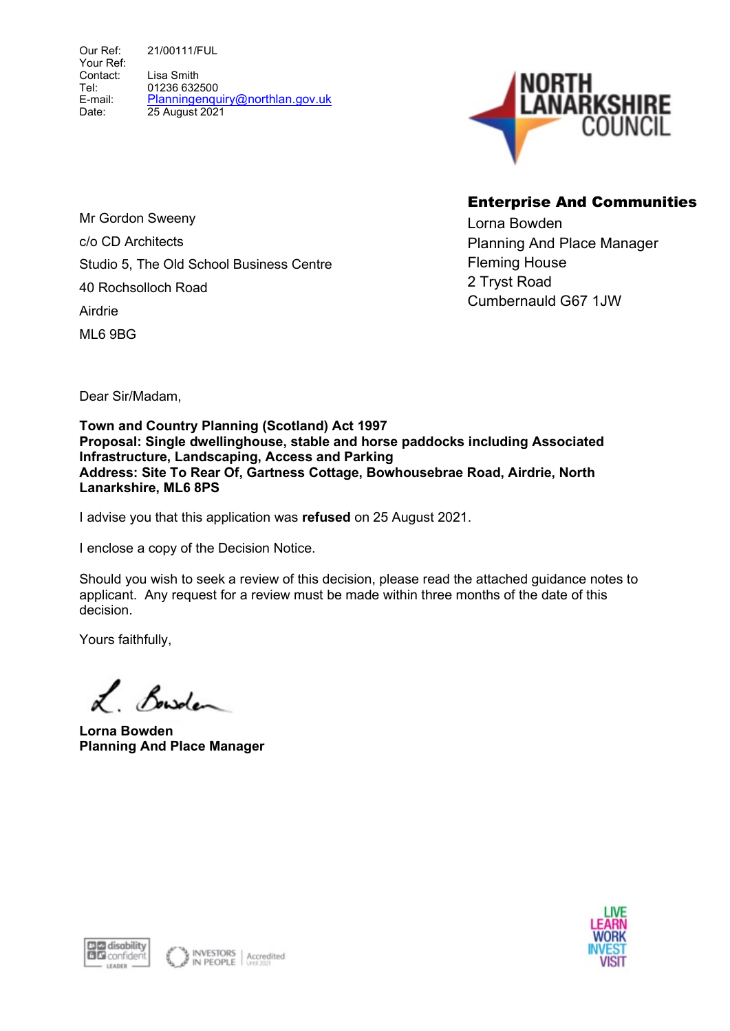Our Ref: Your Ref: Contact: Tel: E-mail: Date: 21/00111/FUL Lisa Smith 01236 632500 Planningenquiry@northlan.gov.uk 25 August 2021



# Enterprise And Communities

Lorna Bowden Planning And Place Manager Fleming House 2 Tryst Road Cumbernauld G67 1JW

Mr Gordon Sweeny c/o CD Architects Studio 5, The Old School Business Centre 40 Rochsolloch Road Airdrie ML6 9BG

Dear Sir/Madam,

Town and Country Planning (Scotland) Act 1997 Proposal: Single dwellinghouse, stable and horse paddocks including Associated Infrastructure, Landscaping, Access and Parking Address: Site To Rear Of, Gartness Cottage, Bowhousebrae Road, Airdrie, North Lanarkshire, ML6 8PS

I advise you that this application was refused on 25 August 2021.

I enclose a copy of the Decision Notice.

Should you wish to seek a review of this decision, please read the attached guidance notes to applicant. Any request for a review must be made within three months of the date of this decision.

Yours faithfully,

L. Bowden

Lorna Bowden Planning And Place Manager



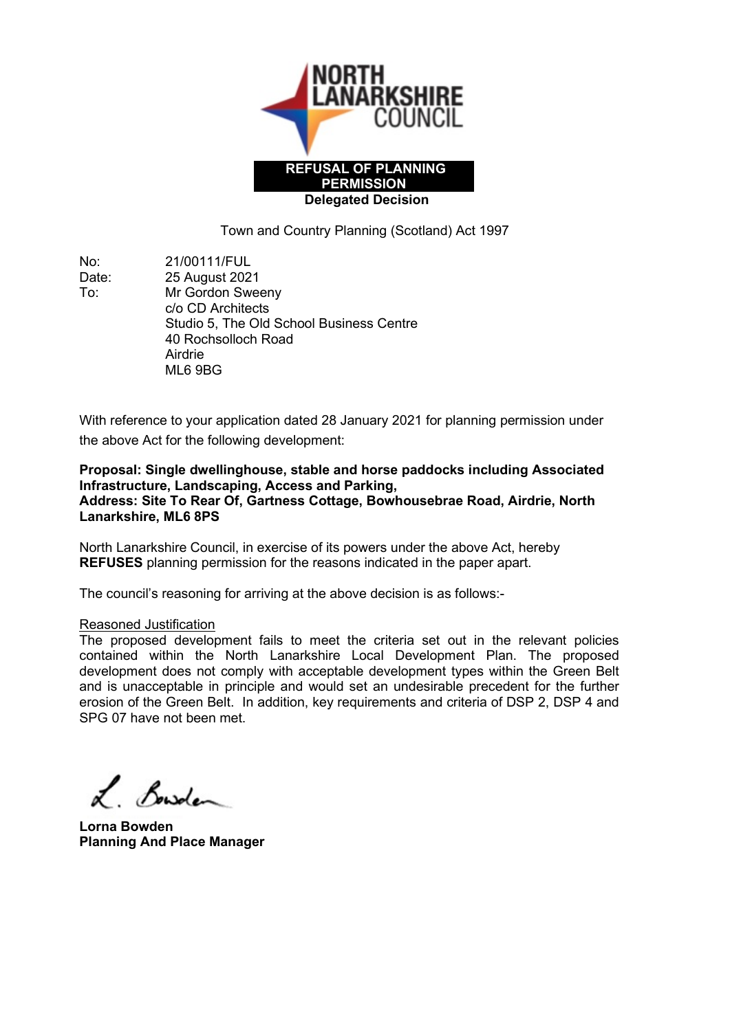

Town and Country Planning (Scotland) Act 1997

No: 21/00111/FUL Date: 25 August 2021 To: Mr Gordon Sweeny c/o CD Architects Studio 5, The Old School Business Centre 40 Rochsolloch Road Airdrie ML6 9BG

With reference to your application dated 28 January 2021 for planning permission under the above Act for the following development:

Proposal: Single dwellinghouse, stable and horse paddocks including Associated Infrastructure, Landscaping, Access and Parking, Address: Site To Rear Of, Gartness Cottage, Bowhousebrae Road, Airdrie, North Lanarkshire, ML6 8PS

North Lanarkshire Council, in exercise of its powers under the above Act, hereby REFUSES planning permission for the reasons indicated in the paper apart.

The council's reasoning for arriving at the above decision is as follows:-

### Reasoned Justification

The proposed development fails to meet the criteria set out in the relevant policies contained within the North Lanarkshire Local Development Plan. The proposed development does not comply with acceptable development types within the Green Belt and is unacceptable in principle and would set an undesirable precedent for the further erosion of the Green Belt. In addition, key requirements and criteria of DSP 2, DSP 4 and SPG 07 have not been met.

Bowden

Lorna Bowden Planning And Place Manager